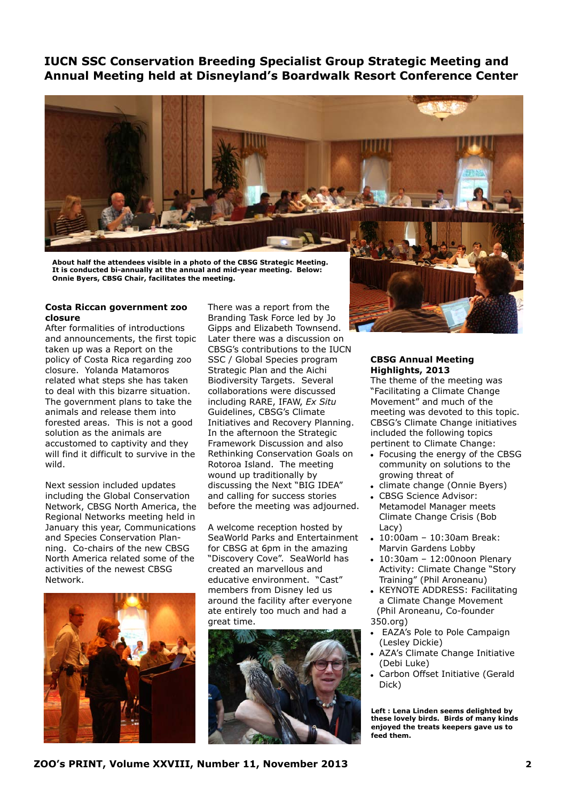**IUCN SSC Conservation Breeding Specialist Group Strategic Meeting and Annual Meeting held at Disneyland's Boardwalk Resort Conference Center**



**About half the attendees visible in a photo of the CBSG Strategic Meeting. It is conducted bi-annually at the annual and mid-year meeting. Below: Onnie Byers, CBSG Chair, facilitates the meeting.** 

## **Costa Riccan government zoo closure**

After formalities of introductions and announcements, the first topic taken up was a Report on the policy of Costa Rica regarding zoo closure. Yolanda Matamoros related what steps she has taken to deal with this bizarre situation. The government plans to take the animals and release them into forested areas. This is not a good solution as the animals are accustomed to captivity and they will find it difficult to survive in the wild.

Next session included updates including the Global Conservation Network, CBSG North America, the Regional Networks meeting held in January this year, Communications and Species Conservation Planning. Co-chairs of the new CBSG North America related some of the activities of the newest CBSG Network.



There was a report from the Branding Task Force led by Jo Gipps and Elizabeth Townsend. Later there was a discussion on CBSG's contributions to the IUCN SSC / Global Species program Strategic Plan and the Aichi Biodiversity Targets. Several collaborations were discussed including RARE, IFAW, *Ex Situ* Guidelines, CBSG's Climate Initiatives and Recovery Planning. In the afternoon the Strategic Framework Discussion and also Rethinking Conservation Goals on Rotoroa Island. The meeting wound up traditionally by discussing the Next "BIG IDEA" and calling for success stories before the meeting was adjourned.

A welcome reception hosted by SeaWorld Parks and Entertainment for CBSG at 6pm in the amazing "Discovery Cove". SeaWorld has created an marvellous and educative environment. "Cast" members from Disney led us around the facility after everyone ate entirely too much and had a great time.





The theme of the meeting was "Facilitating a Climate Change Movement" and much of the meeting was devoted to this topic. CBSG's Climate Change initiatives included the following topics pertinent to Climate Change:

- Focusing the energy of the CBSG community on solutions to the growing threat of
- climate change (Onnie Byers)
- CBSG Science Advisor: Metamodel Manager meets Climate Change Crisis (Bob Lacy)
- 10:00am 10:30am Break: Marvin Gardens Lobby
- 10:30am 12:00noon Plenary Activity: Climate Change "Story Training" (Phil Aroneanu)
- KEYNOTE ADDRESS: Facilitating a Climate Change Movement (Phil Aroneanu, Co-founder 350.org)
- EAZA's Pole to Pole Campaign (Lesley Dickie)
- AZA's Climate Change Initiative (Debi Luke)
- Carbon Offset Initiative (Gerald Dick)

**Left : Lena Linden seems delighted by these lovely birds. Birds of many kinds enjoyed the treats keepers gave us to feed them.**